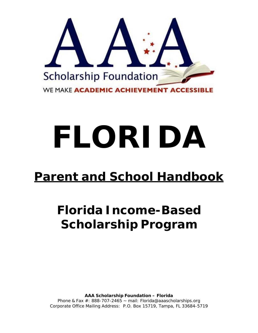

# **FLORIDA**

## **Parent and School Handbook**

# **Florida Income-Based Scholarship Program**

**AAA Scholarship Foundation – Florida** Phone & Fax  $\#$ : 888-707-2465 ~ mail: Florida@aaascholarships.org Corporate Office Mailing Address: P.O. Box 15719, Tampa, FL 33684-5719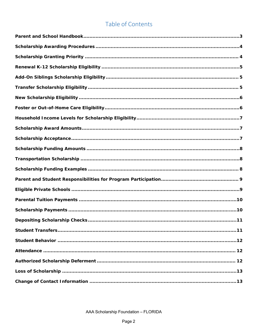### Table of Contents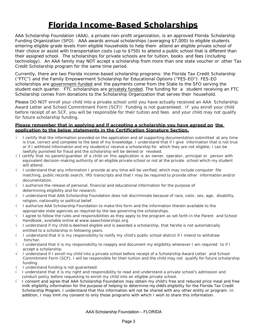## **Florida Income-Based Scholarships**

AAA Scholarship Foundation (AAA), a private non-profit organization, is an approved Florida Scholarship Funding Organization (SFO). AAA awards annual scholarships (averaging *\$7,000*) to eligible students entering eligible grade levels from eligible households to help them attend an eligible private school of their choice or assist with transportation costs (*up to \$750*) to attend a public school that is different than their assigned school. The scholarships for private schools are for tuition, books and fees (including technology). An AAA family may NOT accept a scholarship from more than one state voucher or other Tax Credit Scholarship program for the same time period.

Currently, there are two Florida income-based scholarship programs: the Florida Tax Credit Scholarship ("FTC") and the Family Empowerment Scholarship for Educational Options ("FES-EO"). FES-EO scholarships are government-funded and the payments come from the State to the SFO serving the student each quarter. FTC scholarships are privately funded. The funding for a student receiving an FTC Scholarship comes from donations to the Scholarship Organization that serves their household.

Please DO NOT enroll your child into a private school until you have actually received an AAA Scholarship Award Letter and School Commitment Form (SCF)! Funding is not guaranteed. If you enroll your child before receipt of an SCF, you will be responsible for their tuition and fees and your child may not qualify for future scholarship funding.

#### *Please remember that in applying and if accepting a scholarship you have agreed on the application to the below statements in the Certification Signature Section.*

- I certify that the information provided on the application and all supporting documentation submitted at any time is true, correct and complete to the best of my knowledge. I understand that if I give information that is not true or if I withhold information and my student(s) receive a scholarship for which they are not eligible, I can be lawfully punished for fraud and the scholarship will be denied or revoked.
- $\sqrt{1}$  certify that no parent/guardian of a child on this application is an owner, operator, principal or person with equivalent decision-making authority of an eligible private school or not at the private school which my student will attend.
- I understand that any information I provide at any time will be verified, which may include computer file matching, public records search, IRS transcripts and that I may be required to provide other information and/or documentation.
- $\sqrt{ }$  I authorize the release of personal, financial and educational information for the purpose of determining eligibility and for research.
- $\sqrt{ }$  I understand that AAA Scholarship Foundation does not discriminate because of race, color, sex, age, disability, religion, nationality or political belief.
- I authorize AAA Scholarship Foundation to make this form and the information therein available to the appropriate state agencies as required by the law governing the scholarships.
- I agree to follow the rules and responsibilities as they apply to the program as set forth in the Parent and School Handbook, available online at www.aaascholarships.org.
- I understand if my child is deemed eligible and is awarded a scholarship, that he/she is not automatically entitled to a scholarship in following years.
- I understand that it is my responsibility to notify my child's public school district if I intend to withdraw him/her.
- $\sqrt{ }$  I understand that it is my responsibility to reapply and document my eligibility whenever I am required to if I accept a scholarship.
- I understand if I enroll my child into a private school before receipt of a Scholarship Award Letter and School Commitment Form (SCF), I will be responsible for their tuition and the child may not qualify for future scholarship funding.
- I understand funding is not guaranteed.
- I understand that it is my right and responsibility to read and understand a private school's admission and conduct policy before requesting to enroll my child into an eligible private school.
- I consent and agree that AAA Scholarship Foundation may obtain my child's free and reduced price meal and free milk eligibility information for the purpose of helping to determine my child's eligibility for the Florida Tax Credit Scholarship Program. I understand that this information will not be shared with any other entity or program. In addition, I may limit my consent to only those programs with which I wish to share this information.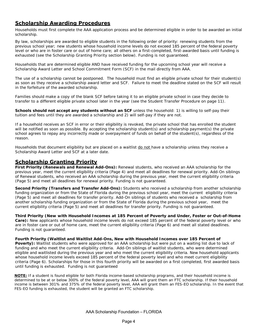#### *Scholarship Awarding Procedures*

Households must first complete the AAA application process and be determined eligible in order to be awarded an initial scholarship.

By law, scholarships are awarded to eligible students in the following order of priority: renewing students from the previous school year; new students whose household income levels do not exceed 185 percent of the federal poverty level or who are in foster care or out of home care; all others on a first-completed, first-awarded basis until funding is exhausted (see the Scholarship Granting Priority section below). Funding is not guaranteed.

Households that are determined eligible AND have received funding for the upcoming school year will receive a Scholarship Award Letter and School Commitment Form (SCF) in the mail directly from AAA.

The use of a scholarship cannot be postponed. The household must find an eligible private school for their student(s) as soon as they receive a scholarship award letter and SCF. Failure to meet the deadline stated on the SCF will result in the forfeiture of the awarded scholarship.

Families should make a copy of the blank SCF before taking it to an eligible private school in case they decide to transfer to a different eligible private school later in the year (see the Student Transfer Procedure on page 11).

**Schools should not accept any students without an SCF** unless the household: 1) is willing to self-pay their tuition and fees until they are awarded a scholarship and 2) will self-pay if they are not.

If a household receives an SCF in error or their eligibility is revoked, the private school that has enrolled the student will be notified as soon as possible. By accepting the scholarship student(s) and scholarship payment(s) the private school agrees to repay any incorrectly made or overpayment of funds on behalf of the student(s), regardless of the reason.

Households that document eligibility but are placed on a waitlist do not have a scholarship unless they receive a Scholarship Award Letter and SCF at a later date.

#### *Scholarship Granting Priority*

**First Priority (Renewals and Renewal Add-Ons):** Renewal students, who received an AAA scholarship for the previous year, meet the current eligibility criteria (Page 4) and meet all deadlines for renewal priority. Add-On siblings of Renewal students, who received an AAA scholarship during the previous year, meet the current eligibility criteria (Page 5) and meet all deadlines for renewal priority. Funding is not guaranteed.

**Second Priority (Transfers and Transfer Add-Ons):** Students who received a scholarship from another scholarship funding organization or from the State of Florida during the previous school year, meet the current eligibility criteria (Page 5) and meet all deadlines for transfer priority. Add-On siblings of students who received a scholarship from another scholarship funding organization or from the State of Florida during the previous school year, meet the current eligibility criteria (Page 5) and meet all deadlines for transfer priority. Funding is not guaranteed.

**Third Priority (New with Household Incomes at 185 Percent of Poverty and Under, Foster or Out-of-Home Care):** New applicants whose household income levels do not exceed 185 percent of the federal poverty level or who are in foster care or out of home care, meet the current eligibility criteria (Page 6) and meet all stated deadlines. Funding is not guaranteed.

**Fourth Priority (Waitlist and Waitlist Add-Ons, New with Household Incomes over 185 Percent of** 

Poverty): Waitlist students who were approved for an AAA scholarship but were put on a waiting list due to lack of funding and who meet the current eligibility criteria. Add-On siblings of waitlist students, who were determined eligible and waitlisted during the previous year and who meet the current eligibility criteria. New household applicants whose household income levels exceed 185 percent of the federal poverty level and who meet current eligibility criteria (Page 6). Scholarships for those in this fourth priority will be awarded on a first completed, first awarded basis until funding is exhausted. Funding is not guaranteed

**NOTE:** If a student is found eligible for both Florida income-based scholarship programs, and their household income is determined to be at or below 300% of the federal poverty level, AAA will grant them an FTC scholarship. If their household income is between 301% and 375% of the federal poverty level, AAA will grant them an FES-EO scholarship. In the event that FES-EO funding is exhausted, the student will be granted an FTC scholarship.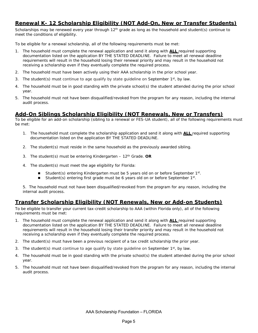#### *Renewal K- 12 Scholarship Eligibility (NOT Add-On, New or Transfer Students)*

Scholarships may be renewed every year through  $12<sup>th</sup>$  grade as long as the household and student(s) continue to meet the conditions of eligibility.

To be eligible for a renewal scholarship, all of the following requirements must be met:

- 1. The household must complete the renewal application and send it along with **ALL** required supporting documentation listed on the application BY THE STATED DEADLINE. Failure to meet all renewal deadline requirements will result in the household losing their renewal priority and may result in the household not receiving a scholarship even if they eventually complete the required process.
- 2. The household must have been actively using their AAA scholarship in the prior school year.
- 3. The student(s) must continue to age qualify by state guideline on September  $1^{st}$ , by law.
- 4. The household must be in good standing with the private school(s) the student attended during the prior school year.
- 5. The household must not have been disqualified/revoked from the program for any reason, including the internal audit process.

#### *Add-On Siblings Scholarship Eligibility (NOT Renewals, New or Transfers)*

To be eligible for an add-on scholarship (sibling to a renewal or FES-UA student), all of the following requirements must be met:

- 1. The household must complete the scholarship application and send it along with **ALL** required supporting documentation listed on the application BY THE STATED DEADLINE.
- 2. The student(s) must reside in the same household as the previously awarded sibling.
- 3. The student(s) must be entering Kindergarten 12th Grade. **OR**
- 4. The student(s) must meet the age eligibility for Florida:
	- Student(s) entering Kindergarten must be 5 years old on or before September 1st.
	- Student(s) entering first grade must be 6 years old on or before September 1st.

5. The household must not have been disqualified/revoked from the program for any reason, including the internal audit process.

#### *Transfer Scholarship Eligibility (NOT Renewals, New or Add-on Students)*

To be eligible to transfer your current tax-credit scholarship to AAA (within Florida only), all of the following requirements must be met:

- 1. The household must complete the renewal application and send it along with **ALL** required supporting documentation listed on the application BY THE STATED DEADLINE. Failure to meet all renewal deadline requirements will result in the household losing their transfer priority and may result in the household not receiving a scholarship even if they eventually complete the required process.
- 2. The student(s) must have been a previous recipient of a tax credit scholarship the prior year.
- 3. The student(s) must continue to age qualify by state quideline on September 1st, by law.
- 4. The household must be in good standing with the private school(s) the student attended during the prior school year.
- 5. The household must not have been disqualified/revoked from the program for any reason, including the internal audit process.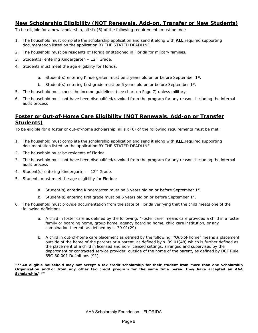#### *New Scholarship Eligibility (NOT Renewals, Add-on, Transfer or New Students)*

To be eligible for a new scholarship, all six (6) of the following requirements must be met:

- 1. The household must complete the scholarship application and send it along with **ALL** required supporting documentation listed on the application BY THE STATED DEADLINE.
- 2. The household must be residents of Florida or stationed in Florida for military families.
- 3. Student(s) entering Kindergarten  $-12<sup>th</sup>$  Grade.
- 4. Students must meet the age eligibility for Florida:
	- a. Student(s) entering Kindergarten must be 5 years old on or before September 1st.
	- b. Student(s) entering first grade must be 6 years old on or before September  $1<sup>st</sup>$ .
- 5. The household must meet the income guidelines (*see chart on Page 7*) unless military.
- 6. The household must not have been disqualified/revoked from the program for any reason, including the internal audit process

#### *Foster or Out-of-Home Care Eligibility (NOT Renewals, Add-on or Transfer Students)*

To be eligible for a foster or out-of-home scholarship, all six (6) of the following requirements must be met:

- 1. The household must complete the scholarship application and send it along with **ALL** required supporting documentation listed on the application BY THE STATED DEADLINE.
- 2. The household must be residents of Florida.
- 3. The household must not have been disqualified/revoked from the program for any reason, including the internal audit process
- 4. Student(s) entering Kindergarten 12<sup>th</sup> Grade.
- 5. Students must meet the age eligibility for Florida:
	- a. Student(s) entering Kindergarten must be 5 years old on or before September 1st.
	- b. Student(s) entering first grade must be 6 years old on or before September  $1<sup>st</sup>$ .
- 6. The household must provide documentation from the state of Florida verifying that the child meets one of the following definitions:
	- a. A child in foster care as defined by the following: "Foster care" means care provided a child in a foster family or boarding home, group home, agency boarding home, child care institution, or any combination thereof, as defined by s. 39.01(29).
	- b. A child in out-of-home care placement as defined by the following: "Out-of-home" means a placement outside of the home of the parents or a parent, as defined by s. 39.01(48) which is further defined as the placement of a child in licensed and non-licensed settings, arranged and supervised by the department or contracted service provider, outside of the home of the parent, as defined by DCF Rule: 65C-30.001 Definitions (91).

*\*\*\*An eligible household may not accept a tax credit scholarship for their student from more than one Scholarship Organization and/or from any other tax credit program for the same time period they have accepted an AAA Scholarship.\*\*\**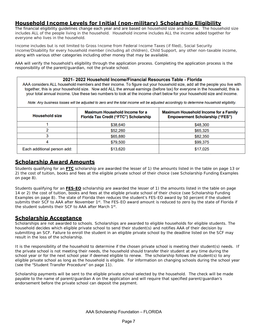#### *Household Income Levels for Initial (non-military) Scholarship Eligibility*

The financial eligibility guidelines change each year and are based on household size and income. The household size includes ALL of the people living in the household. Household income includes ALL the income added together for everyone who lives in the household.

Income includes but is not limited to Gross Income from Federal Income Taxes (if filed), Social Security Income/Disability for every household member (including all children), Child Support, any other non-taxable income, along with various other categories including other money that may be available.

AAA will verify the household's eligibility through the application process. Completing the application process is the responsibility of the parent/guardian, not the private school.

#### 2021-2022 Household Income/Financial Resources Table - Florida

AAA considers ALL household members and their income. To figure out your household size, add all the people you live with together, this is your household size. Now add ALL the annual earnings (before tax) for everyone in the household, this is your total annual income. Use these two numbers to look at the income chart below for your household size and income.

Note: Any business losses will be adjusted to zero and the total income will be adjusted accordingly to determine household eligibility.

| <b>Household size</b>       | <b>Maximum Household Income for a</b><br><b>Florida Tax Credit ("FTC") Scholarship</b> | <b>Maximum Household Income for a Family</b><br><b>Empowerment Scholarship ("FES")</b> |
|-----------------------------|----------------------------------------------------------------------------------------|----------------------------------------------------------------------------------------|
|                             | \$38,640                                                                               | \$48,300                                                                               |
|                             | \$52,260                                                                               | \$65,325                                                                               |
|                             | \$65,880                                                                               | \$82,350                                                                               |
|                             | \$79,500                                                                               | \$99,375                                                                               |
| Each additional person add: | \$13,620                                                                               | \$17,025                                                                               |

#### *Scholarship Award Amounts*

Students qualifying for an **FTC** scholarship are awarded the lesser of 1) the amounts listed in the table on page 13 or 2) the cost of tuition, books and fees at the eligible private school of their choice (see Scholarship Funding Examples on page 8).

Students qualifying for an **FES-EO** scholarship are awarded the lesser of 1) the amounts listed in the table on page 14 or 2) the cost of tuition, books and fees at the eligible private school of their choice (see Scholarship Funding Examples on page 8). The state of Florida then reduces the student's FES-EO award by 50 percent if the student submits their SCF to AAA after November 1st. The FES-EO award amount is reduced to zero by the state of Florida if the student submits their SCF to AAA after March 1st.

#### *Scholarship Acceptance*

Scholarships are not awarded to schools. Scholarships are awarded to eligible households for eligible students. The household decides which eligible private school to send their student(s) and notifies AAA of their decision by submitting an SCF. Failure to enroll the student in an eligible private school by the deadline listed on the SCF may result in the loss of the scholarship.

It is the responsibility of the household to determine if the chosen private school is meeting their student(s) needs. If the private school is not meeting their needs, the household should transfer their student at any time during the school year or for the next school year if deemed eligible to renew. The scholarship follows the student(s) to any eligible private school as long as the household is eligible. For information on changing schools during the school year (see the "Student Transfer Procedure" on page 11).

Scholarship payments will be sent to the eligible private school selected by the household. The check will be made payable to the name of parent/guardian A on the application and will require that specified parent/guardian's endorsement before the private school can deposit the payment.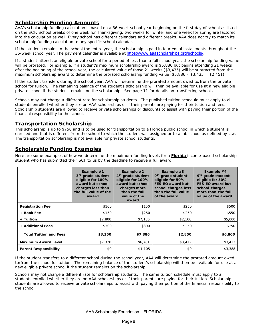#### *Scholarship Funding Amounts*

AAA's scholarship funding calculation is based on a 36-week school year beginning on the first day of school as listed on the SCF. School breaks of one week for Thanksgiving, two weeks for winter and one week for spring are factored into the calculation as well. Every school has different calendars and different breaks. AAA does not try to match its scholarship funding calculation to any specific school calendar.

If the student remains in the school the entire year, the scholarship is paid in four equal installments throughout the 36-week school year. The payment calendar is available at https://www.aaascholarships.org/schools/.

If a student attends an eligible private school for a period of less than a full school year, the scholarship funding value will be prorated. For example, if a student's maximum scholarship award is \$5,886 but begins attending 21 weeks after the beginning of the school year, the calculated value of those 21 weeks (\$3,435) will be subtracted from the maximum scholarship award to determine the prorated scholarship funding value (\$5,886 – \$3,435 = \$2,451).

If the student transfers during the school year, AAA will determine the prorated amount owed to/from the private school for tuition. The remaining balance of the student's scholarship will then be available for use at a new eligible private school if the student remains on the scholarship. See page 11 for details on transferring schools.

Schools may not charge a different rate for scholarship students. The published tuition schedule must apply to all students enrolled whether they are on AAA scholarships or if their parents are paying for their tuition and fees. Scholarship students are allowed to receive private scholarships or discounts to assist with paying their portion of the financial responsibility to the school.

#### *Transportation Scholarship*

This scholarship is up to \$750 and is to be used for transportation to a Florida public school in which a student is enrolled and that is different from the school to which the student was assigned or to a lab school as defined by law. The transportation scholarship is not available for private school students.

#### *Scholarship Funding Examples*

Here are some examples of how we determine the maximum funding levels for a **Florida** income-based scholarship student who has submitted their SCF to us by the deadline to receive a full award:

|                              | Example $#1$<br>3rd-grade student<br>eligible for 100%<br>award but school<br>charges less than<br>the full value of the<br>award | Example $#2$<br>4 <sup>th</sup> -grade student<br>eligible for 100%<br>award but school<br>charges more<br>than the full<br>value of the<br>award | Example $#3$<br>9 <sup>th</sup> -grade student<br>eligible for 50%<br><b>FES-EO award but</b><br>school charges less<br>than the full value<br>of the award | Example #4<br>9 <sup>th</sup> -grade student<br>eligible for 50%<br><b>FES-EO award but</b><br>school charges<br>more than the full<br>value of the award |
|------------------------------|-----------------------------------------------------------------------------------------------------------------------------------|---------------------------------------------------------------------------------------------------------------------------------------------------|-------------------------------------------------------------------------------------------------------------------------------------------------------------|-----------------------------------------------------------------------------------------------------------------------------------------------------------|
| <b>Registration Fee</b>      | \$100                                                                                                                             | \$150                                                                                                                                             | \$250                                                                                                                                                       | \$500                                                                                                                                                     |
| + Book Fee                   | \$150                                                                                                                             | \$250                                                                                                                                             | \$250                                                                                                                                                       | \$550                                                                                                                                                     |
| + Tuition                    | \$2,800                                                                                                                           | \$7,186                                                                                                                                           | \$2,100                                                                                                                                                     | \$5,000                                                                                                                                                   |
| + Additional Fees            | \$300                                                                                                                             | \$300                                                                                                                                             | \$250                                                                                                                                                       | \$750                                                                                                                                                     |
| $=$ Total Tuition and Fees   | \$3,350                                                                                                                           | \$7,886                                                                                                                                           | \$2,850                                                                                                                                                     | \$6,800                                                                                                                                                   |
| <b>Maximum Award Level</b>   | \$7,320                                                                                                                           | \$6,781                                                                                                                                           | \$3,412                                                                                                                                                     | \$3,412                                                                                                                                                   |
| <b>Parent Responsibility</b> | \$0                                                                                                                               | \$1,105                                                                                                                                           | \$0                                                                                                                                                         | \$3,388                                                                                                                                                   |

If the student transfers to a different school during the school year, AAA will determine the prorated amount owed to/from the school for tuition. The remaining balance of the student's scholarship will then be available for use at a new eligible private school if the student remains on the scholarship.

Schools may not charge a different rate for scholarship students. The same tuition schedule must apply to all students enrolled whether they are on AAA scholarships or if their parents are paying for their tuition. Scholarship students are allowed to receive private scholarships to assist with paying their portion of the financial responsibility to the school.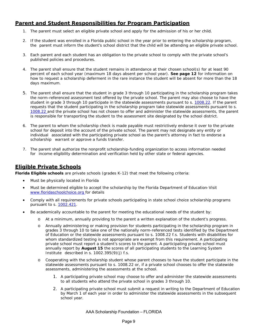#### *Parent and Student Responsibilities for Program Participation*

- 1. The parent must select an eligible private school and apply for the admission of his or her child.
- 2. If the student was enrolled in a Florida public school in the year prior to entering the scholarship program, the parent must inform the student's school district that the child will be attending an eligible private school.
- 3. Each parent and each student has an obligation to the private school to comply with the private school's published policies and procedures.
- 4. The parent shall ensure that the student remains in attendance at their chosen school(s) for at least 90 percent of each school year (maximum 18 days absent per school year). **See page 12** for information on how to request a scholarship deferment in the rare instance the student will be absent for more than the 18 days maximum.
- 5. The parent shall ensure that the student in grade 3 through 10 participating in the scholarship program takes the norm-referenced assessment test offered by the private school. The parent may also choose to have the student in grade 3 through 10 participate in the statewide assessments pursuant to s. 1008.22. If the parent requests that the student participating in the scholarship program take statewide assessments pursuant to s. 1008.22 and the private school has not chosen to offer and administer the statewide assessments, the parent is responsible for transporting the student to the assessment site designated by the school district.
- 6. The parent to whom the scholarship check is made payable must restrictively endorse it over to the private school for deposit into the account of the private school. The parent may not designate any entity or individual associated with the participating private school as the parent's attorney in fact to endorse a scholarship warrant or approve a funds transfer.
- 7. The parent shall authorize the nonprofit scholarship-funding organization to access information needed for income eligibility determination and verification held by other state or federal agencies.

#### *Eligible Private Schools*

**Florida Eligible schools** are private schools (grades K-12) that meet the following criteria:

- Must be physically located in Florida
- Must be determined eligible to accept the scholarship by the Florida Department of Education-Visit *www.floridaschoolchoice.org* for details
- Comply with all requirements for private schools participating in state school choice scholarship programs pursuant to s. 1002.421.
- Be academically accountable to the parent for meeting the educational needs of the student by:
	- o At a minimum, annually providing to the parent a written explanation of the student's progress.
	- o Annually administering or making provision for students participating in the scholarship program in grades 3 through 10 to take one of the nationally norm-referenced tests identified by the Department of Education or the statewide assessments pursuant to s. 1008.22 f.s. Students with disabilities for whom standardized testing is not appropriate are exempt from this requirement. A participating private school must report a student's scores to the parent. A participating private school must annually report by **August 15** the scores of all participating students to the Learning System Institute described in s. 1002.395(9)(j) f.s.
	- o Cooperating with the scholarship student whose parent chooses to have the student participate in the statewide assessments pursuant to s. 1008.22 or, if a private school chooses to offer the statewide assessments, administering the assessments at the school.
		- 1. A participating private school may choose to offer and administer the statewide assessments to all students who attend the private school in grades 3 through 10.
		- 2. A participating private school must submit a request in writing to the Department of Education by March 1 of each year in order to administer the statewide assessments in the subsequent school year.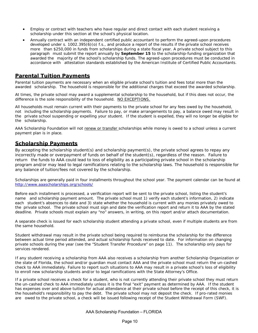- Employ or contract with teachers who have regular and direct contact with each student receiving a scholarship under this section at the school's physical location.
- Annually contract with an independent certified public accountant to perform the agreed-upon procedures developed under s. 1002.395(6)(o) f.s., and produce a report of the results if the private school receives more than \$250,000 in funds from scholarships during a state fiscal year. A private school subject to this paragraph must submit the report annually by **September 15** to the scholarship-funding organization that awarded the majority of the school's scholarship funds. The agreed-upon procedures must be conducted in accordance with attestation standards established by the American Institute of Certified Public Accountants.

#### *Parental Tuition Payments*

Parental tuition payments are necessary when an eligible private school's tuition and fees total *more* than the awarded scholarship. The household is responsible for the additional charges that exceed the awarded scholarship.

At times, the private school may award a supplemental scholarship to the household, but if this does not occur, the difference is the sole responsibility of the household. NO EXCEPTIONS.

All households must remain current with their payments to the private school for any fees owed by the household, not including the scholarship payments. Failure to pay, or make arrangements to pay, a balance owed may result in the private school suspending or expelling your student. If the student is expelled, they will no longer be eligible for the scholarship.

AAA Scholarship Foundation will not renew or transfer scholarships while money is owed to a school unless a current payment plan is in place.

#### *Scholarship Payments*

*By accepting the scholarship student(s) and scholarship payment(s), the private school agrees to repay any incorrectly made or overpayment of funds on behalf of the student(s), regardless of the reason. Failure to return the funds to AAA could lead to loss of eligibility as a participating private school in the scholarship program and/or may lead to legal ramifications relating to the scholarship laws. The household is responsible for any balance of tuition/fees not covered by the scholarship.*

Scholarships are generally paid in four installments throughout the school year. The payment calendar can be found at *http://www.aaascholarships.org/schools/*

Before each installment is processed, a verification report will be sent to the private school, listing the student's name and scholarship payment amount. The private school must 1) verify each student's information, 2) indicate each student's absences to date and 3) state whether the household is current with any monies privately owed to the private school. The private school must sign and date the verification report and return it to AAA by the stated deadline. Private schools must explain any "no" answers, in writing, on this report and/or attach documentation.

A separate check is issued for each scholarship student attending a private school, even if multiple students are from the same household.

Student withdrawal may result in the private school being required to reimburse the scholarship for the difference between actual time period attended, and actual scholarship funds received to date. For information on changing private schools during the year (see the "Student Transfer Procedure" on page 11). The scholarship only pays for services rendered.

If any student receiving a scholarship from AAA also receives a scholarship from another Scholarship Organization or the state of Florida, the school and/or guardian must contact AAA and the private school must return the un-cashed check to AAA immediately. Failure to report such situations to AAA may result in a private school's loss of eligibility to enroll new scholarship students and/or to legal ramifications with the State Attorney's Office.

If a private school receives a check for a student, who is not currently attending their private school they must return the un-cashed check to AAA immediately unless it is the final "exit" payment as determined by AAA. If the student has expenses over and above tuition for actual attendance at their private school before the receipt of this check, it is the household's responsibility to pay the debt. The private school may not deposit the check. If pro-rated monies are owed to the private school, a check will be issued following receipt of the Student Withdrawal Form (SWF).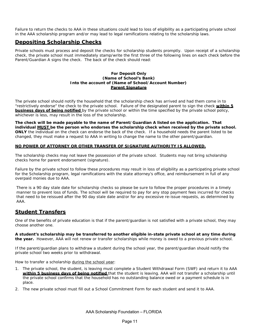Failure to return the checks to AAA in these situations could lead to loss of eligibility as a participating private school in the AAA scholarship program and/or may lead to legal ramifications relating to the scholarship laws.

#### *Depositing Scholarship Checks*

Private schools must process and deposit the checks for scholarship students promptly. Upon receipt of a scholarship check, the private school must immediately stamp/write the first three of the following lines on each check before the Parent/Guardian A signs the check. The back of the check should read:

#### **For Deposit Only (Name of School's Bank) Into the account of (Name of School/Account Number) Parent Signature**

The private school should notify the household that the scholarship check has arrived and had them come in to "restrictively endorse" the check to the private school. Failure of the designated parent to sign the check **within 5 business days of being notified** by the private school or within the time specified by the private school policy, whichever is less, may result in the loss of the scholarship.

**The check will be made payable to the name of Parent/Guardian A listed on the application. That individual MUST be the person who endorses the scholarship check when received by the private school. ONLY** the individual on the check can endorse the back of the check. If a household needs the parent listed to be changed, they must make a *request to AAA in writing to change the name to the other parent/guardian.*

#### *NO POWER OF ATTORNEY OR OTHER TRANSFER OF SIGNATURE AUTHORITY IS ALLOWED.*

The scholarship checks may not leave the possession of the private school. Students may not bring scholarship checks home for parent endorsement (signature).

Failure by the private school to follow these procedures may result in loss of eligibility as a participating private school for the Scholarship program, legal ramifications with the state attorney's office, and reimbursement in full of any overpaid monies due to AAA.

There is a 90 day stale date for scholarship checks so please be sure to follow the proper procedures in a timely manner to prevent loss of funds. The school will be required to pay for any stop payment fees incurred for checks that need to be reissued after the 90 day stale date and/or for any excessive re-issue requests, as determined by AAA.

#### *Student Transfers*

One of the benefits of private education is that if the parent/guardian is not satisfied with a private school, they may choose another one.

**A student's scholarship may be transferred to another eligible in-state private school at any time during the year.** However, AAA will not renew or transfer scholarships while money is owed to a previous private school.

If the parent/guardian plans to withdraw a student during the school year, the parent/guardian should notify the private school two weeks prior to withdrawal.

How to transfer a scholarship *during the school year*:

- 1. The private school, the student, is leaving must complete a Student Withdrawal Form (SWF) and return it to AAA **within 5 business days of being notified** that the student is leaving. AAA will not transfer a scholarship until the private school confirms that the household has no outstanding balance owed or a payment schedule is in place.
- 2. The new private school must fill out a School Commitment Form for each student and send it to AAA.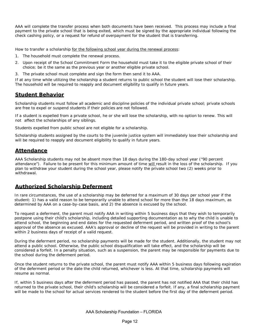AAA will complete the transfer process when both documents have been received. This process may include a final payment to the private school that is being exited, which must be signed by the appropriate individual following the check cashing policy, or a request for refund of overpayment for the student that is transferring.

How to transfer a scholarship *for the following school year during the renewal process:*

- 1. The household must complete the renewal process.
- 2. Upon receipt of the School Commitment Form the household must take it to the eligible private school of their choice; be it the same as the previous year or another eligible private school.
- 3. The private school must complete and sign the form then send it to AAA.

If at any time while utilizing the scholarship a student returns to public school the student will lose their scholarship. The household will be required to reapply and document eligibility to qualify in future years.

#### *Student Behavior*

Scholarship students must follow all academic and discipline policies of the individual private school; private schools are free to expel or suspend students if their policies are not followed.

If a student is expelled from a private school, he or she will lose the scholarship, with no option to renew. This will not affect the scholarships of any siblings.

Students expelled from public school are not eligible for a scholarship.

Scholarship students assigned by the courts to the juvenile justice system will immediately lose their scholarship and will be required to reapply and document eligibility to qualify in future years.

#### *Attendance*

AAA Scholarship students may not be absent more than 18 days during the 180-day school year ("90 percent attendance"). Failure to be present for this minimum amount of time will result in the loss of the scholarship. If you plan to withdraw your student during the school year, please notify the private school two (2) weeks prior to withdrawal.

#### *Authorized Scholarship Deferment*

In rare circumstances, the use of a scholarship may be deferred for a maximum of 30 days per school year if the student: 1) has a valid reason to be temporarily unable to attend school for more than the 18 days maximum, as determined by AAA on a case-by-case basis, and 2) the absence is excused by the school.

To request a deferment, the parent must notify AAA in writing within 5 business days that they wish to temporarily postpone using their child's scholarship, including detailed supporting documentation as to why the child is unable to attend school, the beginning and end dates for the requested deferment period, and written proof of the school's approval of the absence as excused. AAA's approval or decline of the request will be provided in writing to the parent within 2 business days of receipt of a valid request.

During the deferment period, no scholarship payments will be made for the student. Additionally, the student may not attend a public school. Otherwise, the public school disqualification will take effect, and the scholarship will be considered a forfeit. In a penalty situation, such as a suspension, the parent may be responsible for payments due to the school during the deferment period.

Once the student returns to the private school, the parent must notify AAA within 5 business days following expiration of the deferment period or the date the child returned, whichever is less. At that time, scholarship payments will resume as normal.

If, within 5 business days after the deferment period has passed, the parent has not notified AAA that their child has returned to the private school, their child's scholarship will be considered a forfeit. If any, a final scholarship payment will be made to the school for actual services rendered to the student before the first day of the deferment period.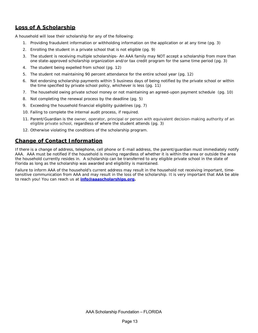#### *Loss of A Scholarship*

A household will lose their scholarship for any of the following:

- 1. Providing fraudulent information or withholding information on the application or at any time (pg. 3)
- 2. Enrolling the student in a private school that is not eligible (pg. 9)
- 3. The student is receiving multiple scholarships- An AAA family may NOT accept a scholarship from more than one state-approved scholarship organization and/or tax credit program for the same time period (pg. 3)
- 4. The student being expelled from school (pg. 12)
- 5. The student not maintaining 90 percent attendance for the entire school year (pg. 12)
- 6. Not endorsing scholarship payments within 5 business days of being notified by the private school or within the time specified by private school policy, whichever is less (pg. 11)
- 7. The household owing private school money or not maintaining an agreed-upon payment schedule (pg. 10)
- 8. Not completing the renewal process by the deadline (pg. 5)
- 9. Exceeding the household financial eligibility guidelines (pg. 7)
- 10. Failing to complete the internal audit process, if required.
- 11. Parent/Guardian is the owner, operator, principal or person with equivalent decision-making authority of an eligible private school, regardless of where the student attends (pg. 3)
- 12. Otherwise violating the conditions of the scholarship program.

#### *Change of Contact Information*

If there is a change of address, telephone, cell phone or E-mail address, the parent/guardian must immediately notify AAA. AAA must be notified if the household is moving regardless of whether it is within the area or outside the area the household currently resides in. A scholarship can be transferred to any eligible private school in the state of Florida as long as the scholarship was awarded and eligibility is maintained.

Failure to inform AAA of the household's current address may result in the household not receiving important, timesensitive communication from AAA and may result in the loss of the scholarship. It is very important that AAA be able to reach you! You can reach us at **info@aaascholarships.org.**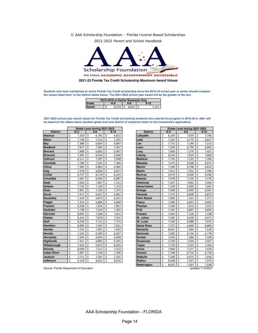© AAA Scholarship Foundation – Florida Income-Based Scholarships

2021-2022 Parent and School Handbook



Students who have maintained an active Florida Tax Credit scholarship since the 2018-19 school year or earlier should compare the values listed here' to the district tables below. The 2021-2022 school year award will be the greater of the two.

| *2018-2019 or Earlier Renewals Or |  |  |      |                         |  |  |  |  |
|-----------------------------------|--|--|------|-------------------------|--|--|--|--|
| Grade                             |  |  | 6. Я |                         |  |  |  |  |
| Award                             |  |  |      | $6,519$ $5$ $6,815$ $5$ |  |  |  |  |

2021-2022 school year award values for Florida Tax Credit scholarship students who entered the program in 2019-20 or after will be based on the tables below (student grade level and district of residence listed on the household's application).

|                                   | Grade Level during 2021-2022 |                  |                         |       |          |       |  |
|-----------------------------------|------------------------------|------------------|-------------------------|-------|----------|-------|--|
| <b>District</b><br><b>Alachua</b> |                              | $K-3$<br>$4 - 8$ |                         |       | $9 - 12$ |       |  |
|                                   | \$                           | 7,320            | Ś                       | 6,781 | Ś        | 6,823 |  |
| <b>Baker</b>                      | \$                           | 7,748            | \$                      | 7:212 | Ś        | 7.255 |  |
| Bay                               | \$                           | 7,388            | \$                      | 6,854 | \$       | 6,897 |  |
| <b>Bradford</b>                   | š                            | 7,927            | $\overline{\mathsf{s}}$ | 7,394 | 5        | 7,437 |  |
| <b>Brevard</b>                    | Ś                            | 7,408            | Ś                       | 6,863 | s        | 6.907 |  |
| <b>Broward</b>                    | \$                           | 7,485            | Ś                       | 6,924 | Ś        | 6,968 |  |
| Calhoun                           | š                            | 8,111            | ζ                       | 7,597 | š        | 7,638 |  |
| Charlotte                         | \$                           | 7,786            | Ś                       | 7,241 | ŝ        | 7,284 |  |
| Citrus                            | \$                           | 7,384            | Ś                       | 6,863 | s        | 6,904 |  |
| Clay                              | \$                           | 7,378            | \$                      | 6,834 | Ś        | 6,877 |  |
| Collier                           | Ś                            | 8,757            | s                       | 8,178 | s        | 8,224 |  |
| Columbia                          | š                            | 7,467            | ζ                       | 6,946 | š        | 6,987 |  |
| Dade                              | ś                            | 7,626            | Ś                       | 7,067 | Ś        | 7,112 |  |
| <b>DeSoto</b>                     | \$                           | 7,730            | Ś                       | 7,190 | \$       | 7,233 |  |
| <b>Dixie</b>                      | š                            | 7,851            | Ś                       | 7,334 | s        | 7,375 |  |
| Duval                             | \$                           | 7.471            | Ś                       | 6,917 | Ś        | 6.961 |  |
| Escambia                          | \$                           | 7,410            | s                       | 6,873 | \$       | 6,915 |  |
| Flagler                           | Ś                            | 7.334            | Ś                       | 6,806 | \$       | 6.848 |  |
| Franklin                          | Ś                            | 8,338            | Ś                       | 7,826 | Ś        | 7,867 |  |
| Gadsden                           | š                            | 7,748            | $\overline{\mathsf{s}}$ | 7,224 | Ξ        | 7,265 |  |
| <b>Gilchrist</b>                  | \$                           | 8.095            | Ś                       | 7,569 | \$       | 7,611 |  |
| <b>Glades</b>                     | \$                           | 8,424            | Ś                       | 7,878 | s        | 7,922 |  |
| Gulf                              | š                            | 8,230            | Ś                       | 7,711 | 5        | 7,752 |  |
| Hamilton                          | Ś                            | 8,099            | Ś                       | 7,591 | Ś        | 7,631 |  |
| Hardee                            | \$                           | 7,533            | S                       | 7,001 | \$       | 7,043 |  |
| Hendry                            | š                            | 7,145            | Ś                       | 6,593 | š        | 6,637 |  |
| Hernando                          | \$                           | 7,349            | Ś                       | 6,816 | S        | 6,858 |  |
| Highlands                         | š                            | 7,421            | S                       | 6,893 | 3        | 6,935 |  |
| Hillsborough                      | Ś                            | 7,426            | \$                      | 6,872 | \$       | 6,916 |  |
| <b>Holmes</b>                     | \$                           | 8,030            | Ś                       | 7,512 | s        | 7,553 |  |
| <b>Indian River</b>               | 3                            | 7,697            | 5                       | 7,146 | 5        | 7,190 |  |
| <b>Jackson</b>                    | \$                           | 7,711            | \$                      | 7,201 | \$       | 7,241 |  |
| Jefferson                         | Ś                            | 9,158            | Ś                       | 8,635 | Ś        | 8,676 |  |

|                   | Grade Level during 2021-2022 |       |    |       |          |       |  |
|-------------------|------------------------------|-------|----|-------|----------|-------|--|
| <b>District</b>   |                              | $K-3$ |    |       | $9 - 12$ |       |  |
| Lafayette         | Ś                            | 8.169 | Ś  | 7,659 | Ś        | 7,700 |  |
| Lake              | Ś                            | 7.315 | Ś  | 6,775 | Ś        | 6,817 |  |
| Lee               | Ś                            | 7.732 | Ś  | 7,169 | Ś        | 7,213 |  |
| Leon              | š                            | 7.294 | Ś  | 6.759 | Ś        | 6,801 |  |
| Levy              | Ś                            | 7,904 | Ś  | 7,379 | 5        | 7,421 |  |
| Liberty           | s                            | 8.334 | 5  | 7,819 | s        | 7,860 |  |
| Madison           | s                            | 7,735 | \$ | 7,225 | 5        | 7,266 |  |
| Manatee           | Ś                            | 7,474 | Ś  | 6,928 | Ś        | 6,971 |  |
| Marion            | s                            | 7,290 | s  | 6,768 | s        | 6,810 |  |
| <b>Martin</b>     | s                            | 7,912 | \$ | 7.352 | \$       | 7,396 |  |
| Monroe            | \$                           | 9.979 | \$ | 9,400 | \$       | 9,446 |  |
| Nassau            | \$                           | 7,678 | \$ | 7,132 | 3        | 7,176 |  |
| Okaloosa          | Ś                            | 7.547 | Ś  | 7,001 | Ś        | 7.044 |  |
| Okeechobee        | Ś                            | 7,539 | Ś  | 6,999 | Ś        | 7.042 |  |
| Orange            | š                            | 7,458 | š  | 6.903 | Ś        | 6.947 |  |
| Osceola           | Ś                            | 7.375 | Ś  | 6.830 | Ś        | 6,873 |  |
| <b>Palm Beach</b> | \$                           | 7,906 | \$ | 7,331 | s        | 7,377 |  |
| Pasco             | Ś                            | 7,394 | Ś  | 6.852 | Ś        | 6,895 |  |
| Pinellas          | \$                           | 7,560 | \$ | 7,010 | \$       | 7,053 |  |
| Polk              | š                            | 7,341 | š  | 6.807 | 5        | 6,850 |  |
| Putnam            | ŝ                            | 7,654 | Ś  | 7,126 | s        | 7,168 |  |
| <b>St. Johns</b>  | \$                           | 7,482 | \$ | 6.928 | ś        | 6.972 |  |
| <b>St. Lucie</b>  | š                            | 7,540 | š  | 6,988 | s        | 7,031 |  |
| Santa Rosa        | Ś                            | 7,375 | Ś  | 6.840 | Ś        | 6,883 |  |
| Sarasota          | Ś                            | 8.041 | Ś  | 7,484 | \$       | 7,528 |  |
| Seminole          | s                            | 7,282 | Ś  | 6.734 | Ś        | 6,778 |  |
| Sumter            | S                            | 7,920 | \$ | 7,386 | \$       | 7,428 |  |
| Suwannee          | s                            | 7,530 | s  | 7.016 | 5        | 7,057 |  |
| Taylor            | \$                           | 7,733 | \$ | 7,223 | \$       | 7,264 |  |
| Union             | \$                           | 7,904 | \$ | 7,377 | \$       | 7,418 |  |
| Volusia           | 3                            | 7,248 | s  | 6,716 | 5        | 6,758 |  |
| Wakulla           | S                            | 7,500 | \$ | 6,975 | \$       | 7,016 |  |
| Walton            | 5                            | 8,468 | Ś  | 7,927 | \$       | 7,970 |  |
| Washington        | Ś                            | 8,025 | Š  | 7,507 | \$       | 7,548 |  |

Source: Florida Department of Education

updated 7/14/2021